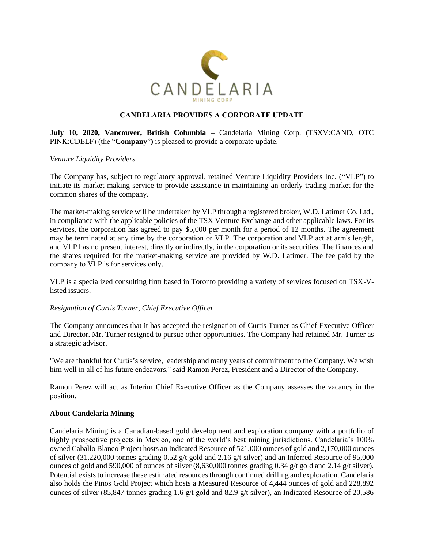

# **CANDELARIA PROVIDES A CORPORATE UPDATE**

**July 10, 2020, Vancouver, British Columbia –** Candelaria Mining Corp. (TSXV:CAND, OTC PINK:CDELF) (the "**Company**"**)** is pleased to provide a corporate update.

### *Venture Liquidity Providers*

The Company has, subject to regulatory approval, retained Venture Liquidity Providers Inc. ("VLP") to initiate its market-making service to provide assistance in maintaining an orderly trading market for the common shares of the company.

The market-making service will be undertaken by VLP through a registered broker, W.D. Latimer Co. Ltd., in compliance with the applicable policies of the TSX Venture Exchange and other applicable laws. For its services, the corporation has agreed to pay \$5,000 per month for a period of 12 months. The agreement may be terminated at any time by the corporation or VLP. The corporation and VLP act at arm's length, and VLP has no present interest, directly or indirectly, in the corporation or its securities. The finances and the shares required for the market-making service are provided by W.D. Latimer. The fee paid by the company to VLP is for services only.

VLP is a specialized consulting firm based in Toronto providing a variety of services focused on TSX-Vlisted issuers.

## *Resignation of Curtis Turner, Chief Executive Officer*

The Company announces that it has accepted the resignation of Curtis Turner as Chief Executive Officer and Director. Mr. Turner resigned to pursue other opportunities. The Company had retained Mr. Turner as a strategic advisor.

"We are thankful for Curtis's service, leadership and many years of commitment to the Company. We wish him well in all of his future endeavors," said Ramon Perez, President and a Director of the Company.

Ramon Perez will act as Interim Chief Executive Officer as the Company assesses the vacancy in the position.

#### **About Candelaria Mining**

Candelaria Mining is a Canadian-based gold development and exploration company with a portfolio of highly prospective projects in Mexico, one of the world's best mining jurisdictions. Candelaria's 100% owned Caballo Blanco Project hosts an Indicated Resource of 521,000 ounces of gold and 2,170,000 ounces of silver (31,220,000 tonnes grading 0.52 g/t gold and 2.16 g/t silver) and an Inferred Resource of 95,000 ounces of gold and 590,000 of ounces of silver  $(8,630,000)$  tonnes grading 0.34 g/t gold and 2.14 g/t silver). Potential exists to increase these estimated resources through continued drilling and exploration. Candelaria also holds the Pinos Gold Project which hosts a Measured Resource of 4,444 ounces of gold and 228,892 ounces of silver (85,847 tonnes grading 1.6 g/t gold and 82.9 g/t silver), an Indicated Resource of 20,586